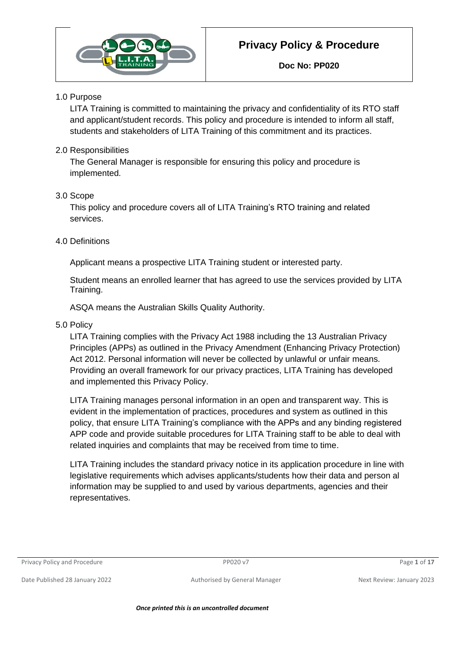

#### 1.0 Purpose

LITA Training is committed to maintaining the privacy and confidentiality of its RTO staff and applicant/student records. This policy and procedure is intended to inform all staff, students and stakeholders of LITA Training of this commitment and its practices.

#### 2.0 Responsibilities

The General Manager is responsible for ensuring this policy and procedure is implemented.

#### 3.0 Scope

This policy and procedure covers all of LITA Training's RTO training and related services.

#### 4.0 Definitions

Applicant means a prospective LITA Training student or interested party.

Student means an enrolled learner that has agreed to use the services provided by LITA Training.

ASQA means the Australian Skills Quality Authority.

#### 5.0 Policy

LITA Training complies with the Privacy Act 1988 including the 13 Australian Privacy Principles (APPs) as outlined in the Privacy Amendment (Enhancing Privacy Protection) Act 2012. Personal information will never be collected by unlawful or unfair means. Providing an overall framework for our privacy practices, LITA Training has developed and implemented this Privacy Policy.

LITA Training manages personal information in an open and transparent way. This is evident in the implementation of practices, procedures and system as outlined in this policy, that ensure LITA Training's compliance with the APPs and any binding registered APP code and provide suitable procedures for LITA Training staff to be able to deal with related inquiries and complaints that may be received from time to time.

LITA Training includes the standard privacy notice in its application procedure in line with legislative requirements which advises applicants/students how their data and person al information may be supplied to and used by various departments, agencies and their representatives.

#### Privacy Policy and Procedure PP020 v7 Page **1** of **17**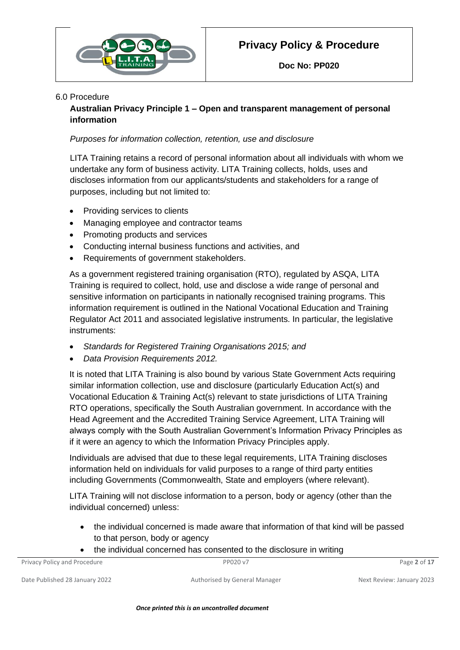

#### 6.0 Procedure

**Australian Privacy Principle 1 – Open and transparent management of personal information**

#### *Purposes for information collection, retention, use and disclosure*

LITA Training retains a record of personal information about all individuals with whom we undertake any form of business activity. LITA Training collects, holds, uses and discloses information from our applicants/students and stakeholders for a range of purposes, including but not limited to:

- Providing services to clients
- Managing employee and contractor teams
- Promoting products and services
- Conducting internal business functions and activities, and
- Requirements of government stakeholders.

As a government registered training organisation (RTO), regulated by ASQA, LITA Training is required to collect, hold, use and disclose a wide range of personal and sensitive information on participants in nationally recognised training programs. This information requirement is outlined in the National Vocational Education and Training Regulator Act 2011 and associated legislative instruments. In particular, the legislative instruments:

- *Standards for Registered Training Organisations 2015; and*
- *Data Provision Requirements 2012.*

It is noted that LITA Training is also bound by various State Government Acts requiring similar information collection, use and disclosure (particularly Education Act(s) and Vocational Education & Training Act(s) relevant to state jurisdictions of LITA Training RTO operations, specifically the South Australian government. In accordance with the Head Agreement and the Accredited Training Service Agreement, LITA Training will always comply with the South Australian Government's Information Privacy Principles as if it were an agency to which the Information Privacy Principles apply.

Individuals are advised that due to these legal requirements, LITA Training discloses information held on individuals for valid purposes to a range of third party entities including Governments (Commonwealth, State and employers (where relevant).

LITA Training will not disclose information to a person, body or agency (other than the individual concerned) unless:

- the individual concerned is made aware that information of that kind will be passed to that person, body or agency
- the individual concerned has consented to the disclosure in writing

| Privacy Policy and Procedure   | PP020 v7                      | Page 2 of 17              |
|--------------------------------|-------------------------------|---------------------------|
| Date Published 28 January 2022 | Authorised by General Manager | Next Review: January 2023 |

*Once printed this is an uncontrolled document*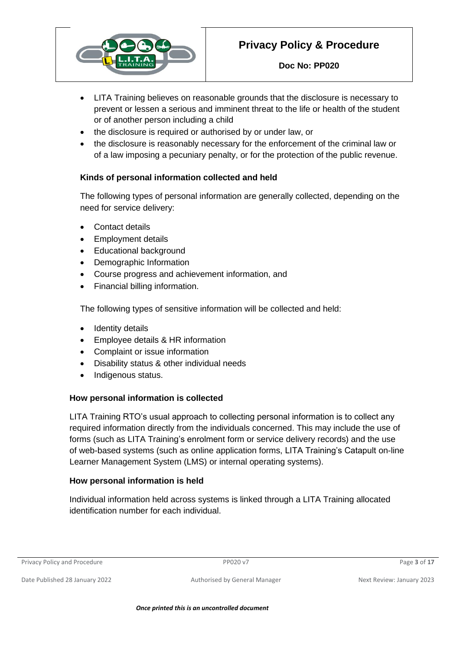

- LITA Training believes on reasonable grounds that the disclosure is necessary to prevent or lessen a serious and imminent threat to the life or health of the student or of another person including a child
- the disclosure is required or authorised by or under law, or
- the disclosure is reasonably necessary for the enforcement of the criminal law or of a law imposing a pecuniary penalty, or for the protection of the public revenue.

## **Kinds of personal information collected and held**

The following types of personal information are generally collected, depending on the need for service delivery:

- Contact details
- Employment details
- Educational background
- Demographic Information
- Course progress and achievement information, and
- Financial billing information.

The following types of sensitive information will be collected and held:

- Identity details
- Employee details & HR information
- Complaint or issue information
- Disability status & other individual needs
- Indigenous status.

## **How personal information is collected**

LITA Training RTO's usual approach to collecting personal information is to collect any required information directly from the individuals concerned. This may include the use of forms (such as LITA Training's enrolment form or service delivery records) and the use of web-based systems (such as online application forms, LITA Training's Catapult on-line Learner Management System (LMS) or internal operating systems).

## **How personal information is held**

Individual information held across systems is linked through a LITA Training allocated identification number for each individual.

Privacy Policy and Procedure PP020 v7 Page **3** of **17**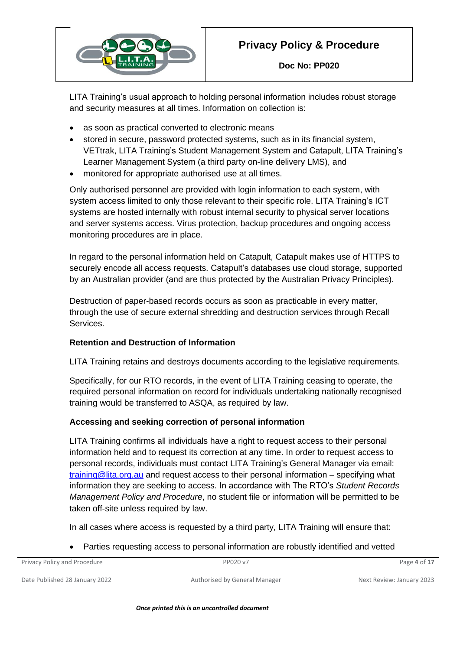

**Doc No: PP020**

LITA Training's usual approach to holding personal information includes robust storage and security measures at all times. Information on collection is:

- as soon as practical converted to electronic means
- stored in secure, password protected systems, such as in its financial system, VETtrak, LITA Training's Student Management System and Catapult, LITA Training's Learner Management System (a third party on-line delivery LMS), and
- monitored for appropriate authorised use at all times.

Only authorised personnel are provided with login information to each system, with system access limited to only those relevant to their specific role. LITA Training's ICT systems are hosted internally with robust internal security to physical server locations and server systems access. Virus protection, backup procedures and ongoing access monitoring procedures are in place.

In regard to the personal information held on Catapult, Catapult makes use of HTTPS to securely encode all access requests. Catapult's databases use cloud storage, supported by an Australian provider (and are thus protected by the Australian Privacy Principles).

Destruction of paper-based records occurs as soon as practicable in every matter, through the use of secure external shredding and destruction services through Recall Services.

#### **Retention and Destruction of Information**

LITA Training retains and destroys documents according to the legislative requirements.

Specifically, for our RTO records, in the event of LITA Training ceasing to operate, the required personal information on record for individuals undertaking nationally recognised training would be transferred to ASQA, as required by law.

#### **Accessing and seeking correction of personal information**

LITA Training confirms all individuals have a right to request access to their personal information held and to request its correction at any time. In order to request access to personal records, individuals must contact LITA Training's General Manager via email: [training@lita.org.au](mailto:training@lita.org.au) and request access to their personal information – specifying what information they are seeking to access. In accordance with The RTO's *Student Records Management Policy and Procedure*, no student file or information will be permitted to be taken off-site unless required by law.

In all cases where access is requested by a third party, LITA Training will ensure that:

• Parties requesting access to personal information are robustly identified and vetted

| Privacy Policy and Procedure | PP020 v7 | Page 4 of 17 |
|------------------------------|----------|--------------|
|                              |          |              |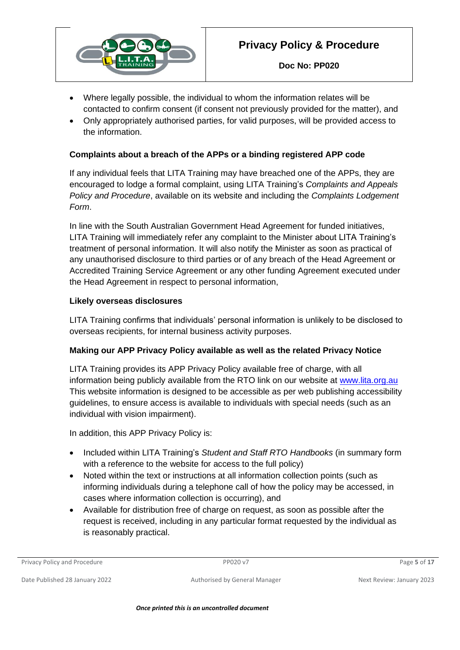

- Where legally possible, the individual to whom the information relates will be contacted to confirm consent (if consent not previously provided for the matter), and
- Only appropriately authorised parties, for valid purposes, will be provided access to the information.

## **Complaints about a breach of the APPs or a binding registered APP code**

If any individual feels that LITA Training may have breached one of the APPs, they are encouraged to lodge a formal complaint, using LITA Training's *Complaints and Appeals Policy and Procedure*, available on its website and including the *Complaints Lodgement Form*.

In line with the South Australian Government Head Agreement for funded initiatives, LITA Training will immediately refer any complaint to the Minister about LITA Training's treatment of personal information. It will also notify the Minister as soon as practical of any unauthorised disclosure to third parties or of any breach of the Head Agreement or Accredited Training Service Agreement or any other funding Agreement executed under the Head Agreement in respect to personal information,

#### **Likely overseas disclosures**

LITA Training confirms that individuals' personal information is unlikely to be disclosed to overseas recipients, for internal business activity purposes.

#### **Making our APP Privacy Policy available as well as the related Privacy Notice**

LITA Training provides its APP Privacy Policy available free of charge, with all information being publicly available from the RTO link on our website at [www.lita.org.au](http://www.lita.org.au/) This website information is designed to be accessible as per web publishing accessibility guidelines, to ensure access is available to individuals with special needs (such as an individual with vision impairment).

In addition, this APP Privacy Policy is:

- Included within LITA Training's *Student and Staff RTO Handbooks* (in summary form with a reference to the website for access to the full policy)
- Noted within the text or instructions at all information collection points (such as informing individuals during a telephone call of how the policy may be accessed, in cases where information collection is occurring), and
- Available for distribution free of charge on request, as soon as possible after the request is received, including in any particular format requested by the individual as is reasonably practical.

Privacy Policy and Procedure PP020 v7 Page **5** of **17**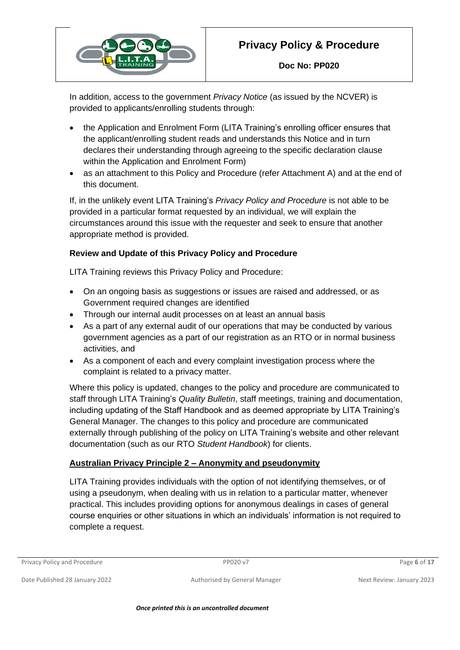

**Doc No: PP020**

In addition, access to the government *Privacy Notice* (as issued by the NCVER) is provided to applicants/enrolling students through:

- the Application and Enrolment Form (LITA Training's enrolling officer ensures that the applicant/enrolling student reads and understands this Notice and in turn declares their understanding through agreeing to the specific declaration clause within the Application and Enrolment Form)
- as an attachment to this Policy and Procedure (refer Attachment A) and at the end of this document.

If, in the unlikely event LITA Training's *Privacy Policy and Procedure* is not able to be provided in a particular format requested by an individual, we will explain the circumstances around this issue with the requester and seek to ensure that another appropriate method is provided.

## **Review and Update of this Privacy Policy and Procedure**

LITA Training reviews this Privacy Policy and Procedure:

- On an ongoing basis as suggestions or issues are raised and addressed, or as Government required changes are identified
- Through our internal audit processes on at least an annual basis
- As a part of any external audit of our operations that may be conducted by various government agencies as a part of our registration as an RTO or in normal business activities, and
- As a component of each and every complaint investigation process where the complaint is related to a privacy matter.

Where this policy is updated, changes to the policy and procedure are communicated to staff through LITA Training's *Quality Bulletin*, staff meetings, training and documentation, including updating of the Staff Handbook and as deemed appropriate by LITA Training's General Manager. The changes to this policy and procedure are communicated externally through publishing of the policy on LITA Training's website and other relevant documentation (such as our RTO *Student Handbook*) for clients.

## **Australian Privacy Principle 2 – Anonymity and pseudonymity**

LITA Training provides individuals with the option of not identifying themselves, or of using a pseudonym, when dealing with us in relation to a particular matter, whenever practical. This includes providing options for anonymous dealings in cases of general course enquiries or other situations in which an individuals' information is not required to complete a request.

Privacy Policy and Procedure PP020 v7 Page **6** of **17**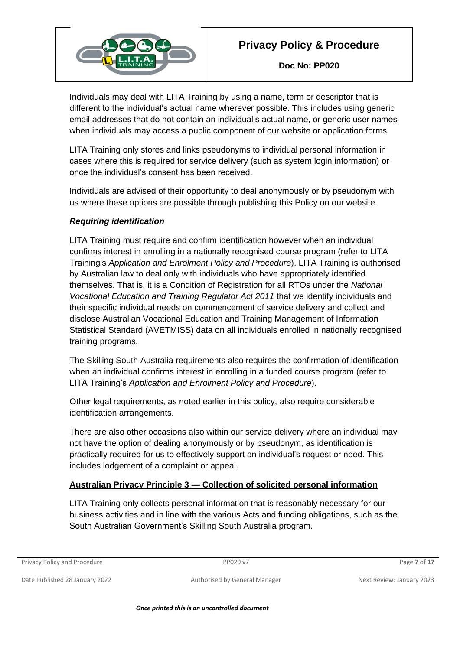

Individuals may deal with LITA Training by using a name, term or descriptor that is different to the individual's actual name wherever possible. This includes using generic email addresses that do not contain an individual's actual name, or generic user names when individuals may access a public component of our website or application forms.

LITA Training only stores and links pseudonyms to individual personal information in cases where this is required for service delivery (such as system login information) or once the individual's consent has been received.

Individuals are advised of their opportunity to deal anonymously or by pseudonym with us where these options are possible through publishing this Policy on our website.

## *Requiring identification*

LITA Training must require and confirm identification however when an individual confirms interest in enrolling in a nationally recognised course program (refer to LITA Training's *Application and Enrolment Policy and Procedure*). LITA Training is authorised by Australian law to deal only with individuals who have appropriately identified themselves. That is, it is a Condition of Registration for all RTOs under the *National Vocational Education and Training Regulator Act 2011* that we identify individuals and their specific individual needs on commencement of service delivery and collect and disclose Australian Vocational Education and Training Management of Information Statistical Standard (AVETMISS) data on all individuals enrolled in nationally recognised training programs.

The Skilling South Australia requirements also requires the confirmation of identification when an individual confirms interest in enrolling in a funded course program (refer to LITA Training's *Application and Enrolment Policy and Procedure*).

Other legal requirements, as noted earlier in this policy, also require considerable identification arrangements.

There are also other occasions also within our service delivery where an individual may not have the option of dealing anonymously or by pseudonym, as identification is practically required for us to effectively support an individual's request or need. This includes lodgement of a complaint or appeal.

## **Australian Privacy Principle 3 — Collection of solicited personal information**

LITA Training only collects personal information that is reasonably necessary for our business activities and in line with the various Acts and funding obligations, such as the South Australian Government's Skilling South Australia program.

Privacy Policy and Procedure PP020 v7 Page **7** of **17**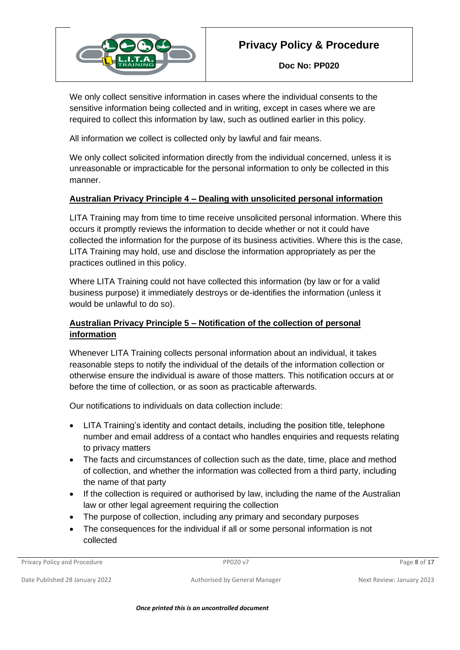

We only collect sensitive information in cases where the individual consents to the sensitive information being collected and in writing, except in cases where we are required to collect this information by law, such as outlined earlier in this policy.

All information we collect is collected only by lawful and fair means.

We only collect solicited information directly from the individual concerned, unless it is unreasonable or impracticable for the personal information to only be collected in this manner.

## **Australian Privacy Principle 4 – Dealing with unsolicited personal information**

LITA Training may from time to time receive unsolicited personal information. Where this occurs it promptly reviews the information to decide whether or not it could have collected the information for the purpose of its business activities. Where this is the case, LITA Training may hold, use and disclose the information appropriately as per the practices outlined in this policy.

Where LITA Training could not have collected this information (by law or for a valid business purpose) it immediately destroys or de-identifies the information (unless it would be unlawful to do so).

## **Australian Privacy Principle 5 – Notification of the collection of personal information**

Whenever LITA Training collects personal information about an individual, it takes reasonable steps to notify the individual of the details of the information collection or otherwise ensure the individual is aware of those matters. This notification occurs at or before the time of collection, or as soon as practicable afterwards.

Our notifications to individuals on data collection include:

- LITA Training's identity and contact details, including the position title, telephone number and email address of a contact who handles enquiries and requests relating to privacy matters
- The facts and circumstances of collection such as the date, time, place and method of collection, and whether the information was collected from a third party, including the name of that party
- If the collection is required or authorised by law, including the name of the Australian law or other legal agreement requiring the collection
- The purpose of collection, including any primary and secondary purposes
- The consequences for the individual if all or some personal information is not collected

Privacy Policy and Procedure PP020 v7 Page **8** of **17**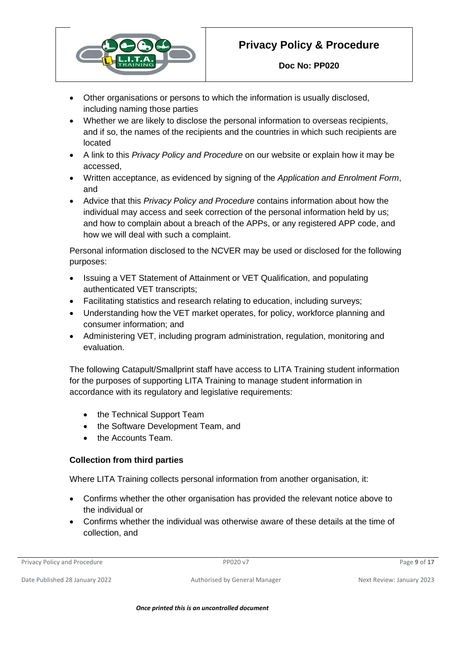

- Other organisations or persons to which the information is usually disclosed, including naming those parties
- Whether we are likely to disclose the personal information to overseas recipients, and if so, the names of the recipients and the countries in which such recipients are located
- A link to this *Privacy Policy and Procedure* on our website or explain how it may be accessed,
- Written acceptance, as evidenced by signing of the *Application and Enrolment Form*, and
- Advice that this *Privacy Policy and Procedure* contains information about how the individual may access and seek correction of the personal information held by us; and how to complain about a breach of the APPs, or any registered APP code, and how we will deal with such a complaint.

Personal information disclosed to the NCVER may be used or disclosed for the following purposes:

- Issuing a VET Statement of Attainment or VET Qualification, and populating authenticated VET transcripts;
- Facilitating statistics and research relating to education, including surveys;
- Understanding how the VET market operates, for policy, workforce planning and consumer information; and
- Administering VET, including program administration, regulation, monitoring and evaluation.

The following Catapult/Smallprint staff have access to LITA Training student information for the purposes of supporting LITA Training to manage student information in accordance with its regulatory and legislative requirements:

- the Technical Support Team
- the Software Development Team, and
- the Accounts Team.

## **Collection from third parties**

Where LITA Training collects personal information from another organisation, it:

- Confirms whether the other organisation has provided the relevant notice above to the individual or
- Confirms whether the individual was otherwise aware of these details at the time of collection, and

Privacy Policy and Procedure PP020 v7 Page **9** of **17**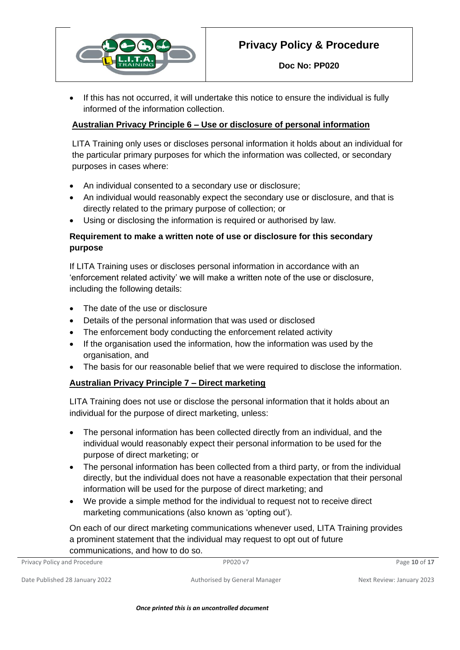

If this has not occurred, it will undertake this notice to ensure the individual is fully informed of the information collection.

#### **Australian Privacy Principle 6 – Use or disclosure of personal information**

LITA Training only uses or discloses personal information it holds about an individual for the particular primary purposes for which the information was collected, or secondary purposes in cases where:

- An individual consented to a secondary use or disclosure;
- An individual would reasonably expect the secondary use or disclosure, and that is directly related to the primary purpose of collection; or
- Using or disclosing the information is required or authorised by law.

#### **Requirement to make a written note of use or disclosure for this secondary purpose**

If LITA Training uses or discloses personal information in accordance with an 'enforcement related activity' we will make a written note of the use or disclosure, including the following details:

- The date of the use or disclosure
- Details of the personal information that was used or disclosed
- The enforcement body conducting the enforcement related activity
- If the organisation used the information, how the information was used by the organisation, and
- The basis for our reasonable belief that we were required to disclose the information.

## **Australian Privacy Principle 7 – Direct marketing**

LITA Training does not use or disclose the personal information that it holds about an individual for the purpose of direct marketing, unless:

- The personal information has been collected directly from an individual, and the individual would reasonably expect their personal information to be used for the purpose of direct marketing; or
- The personal information has been collected from a third party, or from the individual directly, but the individual does not have a reasonable expectation that their personal information will be used for the purpose of direct marketing; and
- We provide a simple method for the individual to request not to receive direct marketing communications (also known as 'opting out').

On each of our direct marketing communications whenever used, LITA Training provides a prominent statement that the individual may request to opt out of future communications, and how to do so.

| Privacy Policy and Procedure | PP020 v7 | Page 10 of 17 |
|------------------------------|----------|---------------|
|                              |          |               |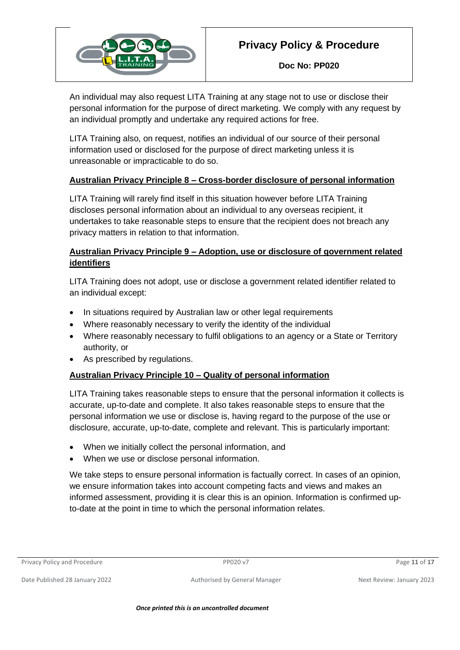

**Doc No: PP020**

An individual may also request LITA Training at any stage not to use or disclose their personal information for the purpose of direct marketing. We comply with any request by an individual promptly and undertake any required actions for free.

LITA Training also, on request, notifies an individual of our source of their personal information used or disclosed for the purpose of direct marketing unless it is unreasonable or impracticable to do so.

## **Australian Privacy Principle 8 – Cross-border disclosure of personal information**

LITA Training will rarely find itself in this situation however before LITA Training discloses personal information about an individual to any overseas recipient, it undertakes to take reasonable steps to ensure that the recipient does not breach any privacy matters in relation to that information.

## **Australian Privacy Principle 9 – Adoption, use or disclosure of government related identifiers**

LITA Training does not adopt, use or disclose a government related identifier related to an individual except:

- In situations required by Australian law or other legal requirements
- Where reasonably necessary to verify the identity of the individual
- Where reasonably necessary to fulfil obligations to an agency or a State or Territory authority, or
- As prescribed by regulations.

## **Australian Privacy Principle 10 – Quality of personal information**

LITA Training takes reasonable steps to ensure that the personal information it collects is accurate, up-to-date and complete. It also takes reasonable steps to ensure that the personal information we use or disclose is, having regard to the purpose of the use or disclosure, accurate, up-to-date, complete and relevant. This is particularly important:

- When we initially collect the personal information, and
- When we use or disclose personal information.

We take steps to ensure personal information is factually correct. In cases of an opinion, we ensure information takes into account competing facts and views and makes an informed assessment, providing it is clear this is an opinion. Information is confirmed upto-date at the point in time to which the personal information relates.

Privacy Policy and Procedure **PP020 v7** Page 11 of 17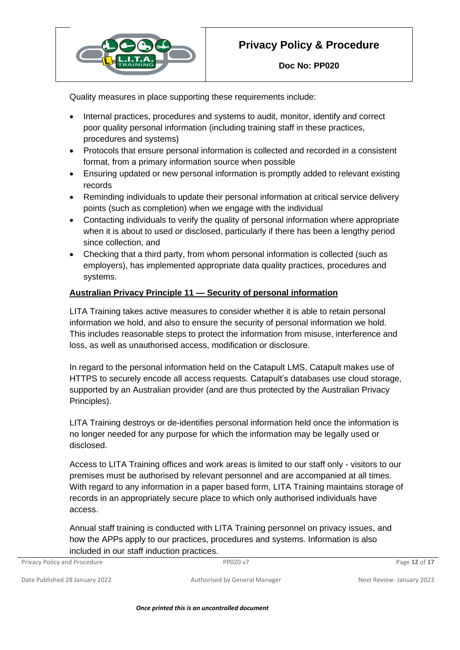

Quality measures in place supporting these requirements include:

- Internal practices, procedures and systems to audit, monitor, identify and correct poor quality personal information (including training staff in these practices, procedures and systems)
- Protocols that ensure personal information is collected and recorded in a consistent format, from a primary information source when possible
- Ensuring updated or new personal information is promptly added to relevant existing records
- Reminding individuals to update their personal information at critical service delivery points (such as completion) when we engage with the individual
- Contacting individuals to verify the quality of personal information where appropriate when it is about to used or disclosed, particularly if there has been a lengthy period since collection, and
- Checking that a third party, from whom personal information is collected (such as employers), has implemented appropriate data quality practices, procedures and systems.

## **Australian Privacy Principle 11 — Security of personal information**

LITA Training takes active measures to consider whether it is able to retain personal information we hold, and also to ensure the security of personal information we hold. This includes reasonable steps to protect the information from misuse, interference and loss, as well as unauthorised access, modification or disclosure.

In regard to the personal information held on the Catapult LMS, Catapult makes use of HTTPS to securely encode all access requests. Catapult's databases use cloud storage, supported by an Australian provider (and are thus protected by the Australian Privacy Principles).

LITA Training destroys or de-identifies personal information held once the information is no longer needed for any purpose for which the information may be legally used or disclosed.

Access to LITA Training offices and work areas is limited to our staff only - visitors to our premises must be authorised by relevant personnel and are accompanied at all times. With regard to any information in a paper based form, LITA Training maintains storage of records in an appropriately secure place to which only authorised individuals have access.

Annual staff training is conducted with LITA Training personnel on privacy issues, and how the APPs apply to our practices, procedures and systems. Information is also included in our staff induction practices.

| Privacy Policy and Procedure | PP020 v7 | Page 12 of 17 |
|------------------------------|----------|---------------|
|                              |          |               |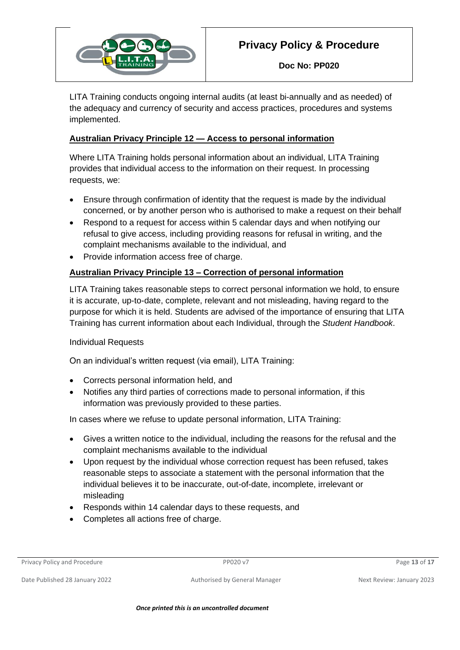

**Doc No: PP020**

LITA Training conducts ongoing internal audits (at least bi-annually and as needed) of the adequacy and currency of security and access practices, procedures and systems implemented.

## **Australian Privacy Principle 12 — Access to personal information**

Where LITA Training holds personal information about an individual, LITA Training provides that individual access to the information on their request. In processing requests, we:

- Ensure through confirmation of identity that the request is made by the individual concerned, or by another person who is authorised to make a request on their behalf
- Respond to a request for access within 5 calendar days and when notifying our refusal to give access, including providing reasons for refusal in writing, and the complaint mechanisms available to the individual, and
- Provide information access free of charge.

## **Australian Privacy Principle 13 – Correction of personal information**

LITA Training takes reasonable steps to correct personal information we hold, to ensure it is accurate, up-to-date, complete, relevant and not misleading, having regard to the purpose for which it is held. Students are advised of the importance of ensuring that LITA Training has current information about each Individual, through the *Student Handbook*.

#### Individual Requests

On an individual's written request (via email), LITA Training:

- Corrects personal information held, and
- Notifies any third parties of corrections made to personal information, if this information was previously provided to these parties.

In cases where we refuse to update personal information, LITA Training:

- Gives a written notice to the individual, including the reasons for the refusal and the complaint mechanisms available to the individual
- Upon request by the individual whose correction request has been refused, takes reasonable steps to associate a statement with the personal information that the individual believes it to be inaccurate, out-of-date, incomplete, irrelevant or misleading
- Responds within 14 calendar days to these requests, and
- Completes all actions free of charge.

Privacy Policy and Procedure **PP020 v7** Procedure PP020 v7 Page 13 of 17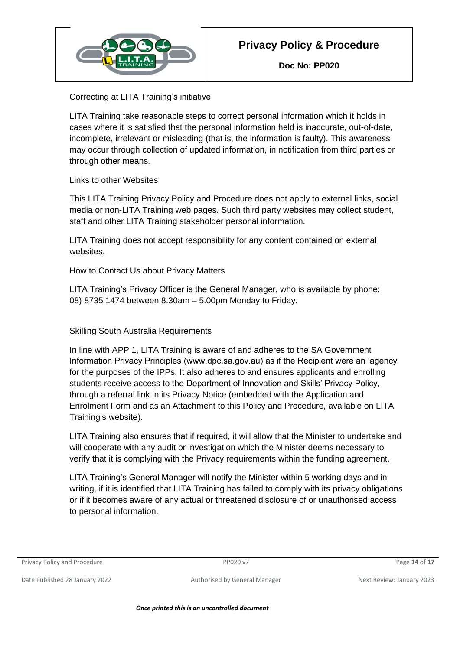

Correcting at LITA Training's initiative

LITA Training take reasonable steps to correct personal information which it holds in cases where it is satisfied that the personal information held is inaccurate, out-of-date, incomplete, irrelevant or misleading (that is, the information is faulty). This awareness may occur through collection of updated information, in notification from third parties or through other means.

Links to other Websites

This LITA Training Privacy Policy and Procedure does not apply to external links, social media or non-LITA Training web pages. Such third party websites may collect student, staff and other LITA Training stakeholder personal information.

LITA Training does not accept responsibility for any content contained on external websites.

How to Contact Us about Privacy Matters

LITA Training's Privacy Officer is the General Manager, who is available by phone: 08) 8735 1474 between 8.30am – 5.00pm Monday to Friday.

## Skilling South Australia Requirements

In line with APP 1, LITA Training is aware of and adheres to the SA Government Information Privacy Principles (www.dpc.sa.gov.au) as if the Recipient were an 'agency' for the purposes of the IPPs. It also adheres to and ensures applicants and enrolling students receive access to the Department of Innovation and Skills' Privacy Policy, through a referral link in its Privacy Notice (embedded with the Application and Enrolment Form and as an Attachment to this Policy and Procedure, available on LITA Training's website).

LITA Training also ensures that if required, it will allow that the Minister to undertake and will cooperate with any audit or investigation which the Minister deems necessary to verify that it is complying with the Privacy requirements within the funding agreement.

LITA Training's General Manager will notify the Minister within 5 working days and in writing, if it is identified that LITA Training has failed to comply with its privacy obligations or if it becomes aware of any actual or threatened disclosure of or unauthorised access to personal information.

Privacy Policy and Procedure **PP020 v7** Page 14 of 17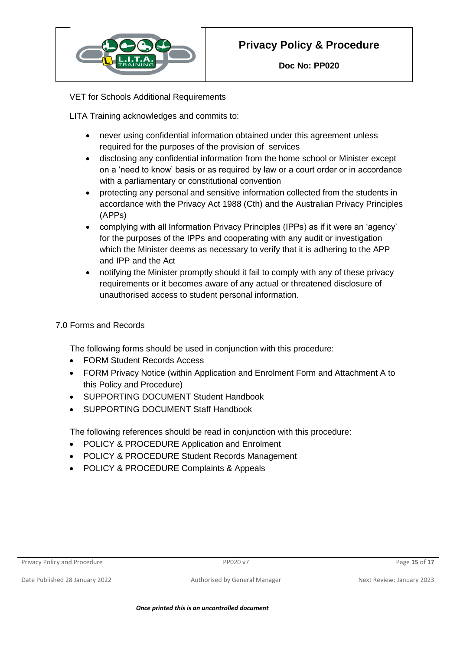

**Doc No: PP020**

VET for Schools Additional Requirements

LITA Training acknowledges and commits to:

- never using confidential information obtained under this agreement unless required for the purposes of the provision of services
- disclosing any confidential information from the home school or Minister except on a 'need to know' basis or as required by law or a court order or in accordance with a parliamentary or constitutional convention
- protecting any personal and sensitive information collected from the students in accordance with the Privacy Act 1988 (Cth) and the Australian Privacy Principles (APPs)
- complying with all Information Privacy Principles (IPPs) as if it were an 'agency' for the purposes of the IPPs and cooperating with any audit or investigation which the Minister deems as necessary to verify that it is adhering to the APP and IPP and the Act
- notifying the Minister promptly should it fail to comply with any of these privacy requirements or it becomes aware of any actual or threatened disclosure of unauthorised access to student personal information.

## 7.0 Forms and Records

The following forms should be used in conjunction with this procedure:

- FORM Student Records Access
- FORM Privacy Notice (within Application and Enrolment Form and Attachment A to this Policy and Procedure)
- SUPPORTING DOCUMENT Student Handbook
- SUPPORTING DOCUMENT Staff Handbook

The following references should be read in conjunction with this procedure:

- POLICY & PROCEDURE Application and Enrolment
- POLICY & PROCEDURE Student Records Management
- POLICY & PROCEDURE Complaints & Appeals

Privacy Policy and Procedure **PP020 v7** Procedure PP020 v7 Page 15 of 17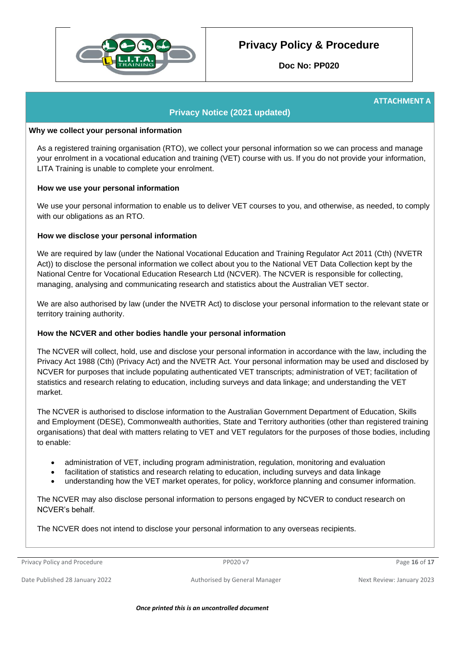

**Doc No: PP020**

#### **ATTACHMENT A**

#### **Privacy Notice (2021 updated)**

#### **Why we collect your personal information**

As a registered training organisation (RTO), we collect your personal information so we can process and manage your enrolment in a vocational education and training (VET) course with us. If you do not provide your information, LITA Training is unable to complete your enrolment.

#### **How we use your personal information**

We use your personal information to enable us to deliver VET courses to you, and otherwise, as needed, to comply with our obligations as an RTO.

#### **How we disclose your personal information**

We are required by law (under the National Vocational Education and Training Regulator Act 2011 (Cth) (NVETR Act)) to disclose the personal information we collect about you to the National VET Data Collection kept by the National Centre for Vocational Education Research Ltd (NCVER). The NCVER is responsible for collecting, managing, analysing and communicating research and statistics about the Australian VET sector.

We are also authorised by law (under the NVETR Act) to disclose your personal information to the relevant state or territory training authority.

#### **How the NCVER and other bodies handle your personal information**

The NCVER will collect, hold, use and disclose your personal information in accordance with the law, including the Privacy Act 1988 (Cth) (Privacy Act) and the NVETR Act. Your personal information may be used and disclosed by NCVER for purposes that include populating authenticated VET transcripts; administration of VET; facilitation of statistics and research relating to education, including surveys and data linkage; and understanding the VET market.

The NCVER is authorised to disclose information to the Australian Government Department of Education, Skills and Employment (DESE), Commonwealth authorities, State and Territory authorities (other than registered training organisations) that deal with matters relating to VET and VET regulators for the purposes of those bodies, including to enable:

- administration of VET, including program administration, regulation, monitoring and evaluation
- facilitation of statistics and research relating to education, including surveys and data linkage
- understanding how the VET market operates, for policy, workforce planning and consumer information.

The NCVER may also disclose personal information to persons engaged by NCVER to conduct research on NCVER's behalf.

The NCVER does not intend to disclose your personal information to any overseas recipients.

Privacy Policy and Procedure **PP020 v7** Procedure PP020 v7 Page 16 of 17